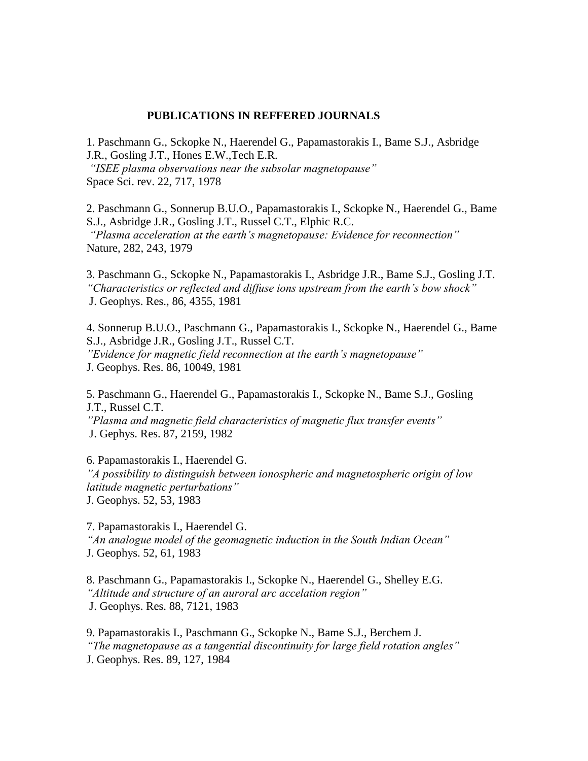## **PUBLICATIONS IN REFFERED JOURNALS**

1. Paschmann G., Sckopke N., Haerendel G., Papamastorakis I., Bame S.J., Asbridge J.R., Gosling J.T., Hones E.W.,Tech E.R. *"ΙSEE plasma observations near the subsolar magnetopause"*  Space Sci. rev. 22, 717, 1978

2. Paschmann G., Sonnerup B.U.O., Papamastorakis I., Sckopke N., Haerendel G., Bame S.J., Asbridge J.R., Gosling J.T., Russel C.T., Elphic R.C. *"Plasma acceleration at the earth's magnetopause: Evidence for reconnection"*  Nature, 282, 243, 1979

3. Paschmann G., Sckopke N., Papamastorakis I., Asbridge J.R., Bame S.J., Gosling J.T. *"Characteristics or reflected and diffuse ions upstream from the earth's bow shock"* J. Geophys. Res., 86, 4355, 1981

4. Sonnerup B.U.O., Paschmann G., Papamastorakis I., Sckopke N., Haerendel G., Bame S.J., Asbridge J.R., Gosling J.T., Russel C.T. *"Evidence for magnetic field reconnection at the earth's magnetopause"*  J. Geophys. Res. 86, 10049, 1981

5. Paschmann G., Haerendel G., Papamastorakis I., Sckopke N., Bame S.J., Gosling J.T., Russel C.T. *"Plasma and magnetic field characteristics of magnetic flux transfer events"*

J. Gephys. Res. 87, 2159, 1982

6. Papamastorakis I., Haerendel G. *"A possibility to distinguish between ionospheric and magnetospheric origin of low latitude magnetic perturbations"* J. Geophys. 52, 53, 1983

7. Papamastorakis I., Haerendel G. *"An analogue model of the geomagnetic induction in the South Indian Ocean"* J. Geophys. 52, 61, 1983

8. Paschmann G., Papamastorakis I., Sckopke N., Haerendel G., Shelley E.G. *"Altitude and structure of an auroral arc accelation region"* J. Geophys. Res. 88, 7121, 1983

9. Papamastorakis I., Paschmann G., Sckopke N., Bame S.J., Berchem J. *"The magnetopause as a tangential discontinuity for large field rotation angles"* J. Geophys. Res. 89, 127, 1984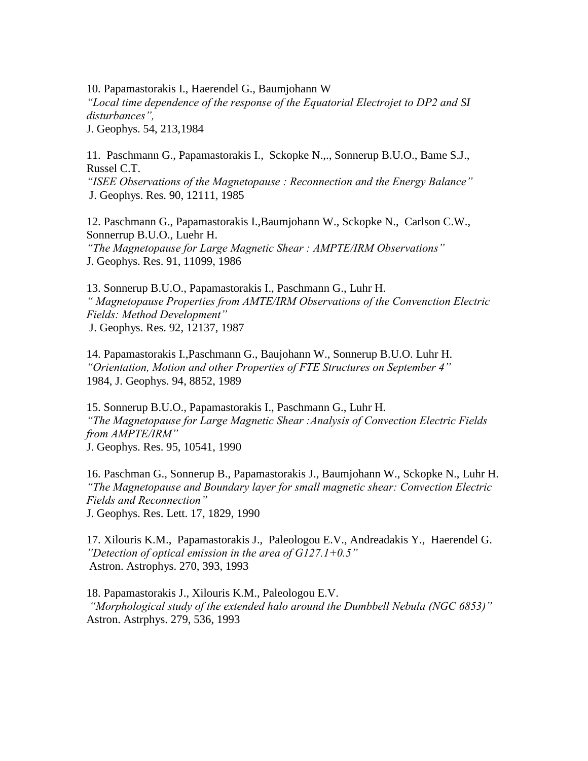10. Papamastorakis I., Haerendel G., Baumjohann W

*"Local time dependence of the response of the Equatorial Electrojet to DP2 and SI disturbances",*

J. Geophys. 54, 213,1984

11. Paschmann G., Papamastorakis I., Sckopke N.,., Sonnerup B.U.O., Bame S.J., Russel C.T.

*"ISEE Observations of the Magnetopause : Reconnection and the Energy Balance"* J. Geophys. Res. 90, 12111, 1985

12. Paschmann G., Papamastorakis I.,Baumjohann W., Sckopke N., Carlson C.W., Sonnerrup B.U.O., Luehr H. *"The Magnetopause for Large Magnetic Shear : AMPTE/IRM Observations"* 

J. Geophys. Res. 91, 11099, 1986

13. Sonnerup B.U.O., Papamastorakis I., Paschmann G., Luhr H. *" Magnetopause Properties from AMTE/IRM Observations of the Convenction Electric Fields: Method Development"* J. Geophys. Res. 92, 12137, 1987

14. Papamastorakis I.,Paschmann G., Baujohann W., Sonnerup B.U.O. Luhr H. *"Orientation, Motion and other Properties of FTE Structures on September 4"* 1984, J. Geophys. 94, 8852, 1989

15. Sonnerup B.U.O., Papamastorakis I., Paschmann G., Luhr H. *"The Magnetopause for Large Magnetic Shear :Analysis of Convection Electric Fields from AMPTE/IRM"* J. Geophys. Res. 95, 10541, 1990

16. Paschman G., Sonnerup B., Papamastorakis J., Baumjohann W., Sckopke N., Luhr H. *"The Magnetopause and Boundary layer for small magnetic shear: Convection Electric Fields and Reconnection"*

J. Geophys. Res. Lett. 17, 1829, 1990

17. Xilouris K.M., Papamastorakis J., Paleologou E.V., Andreadakis Y., Haerendel G. *"Detection of optical emission in the area of G127.1+0.5"* Astron. Astrophys. 270, 393, 1993

18. Papamastorakis J., Xilouris K.M., Paleologou E.V. *"Morphological study of the extended halo around the Dumbbell Nebula (NGC 6853)"* Astron. Astrphys. 279, 536, 1993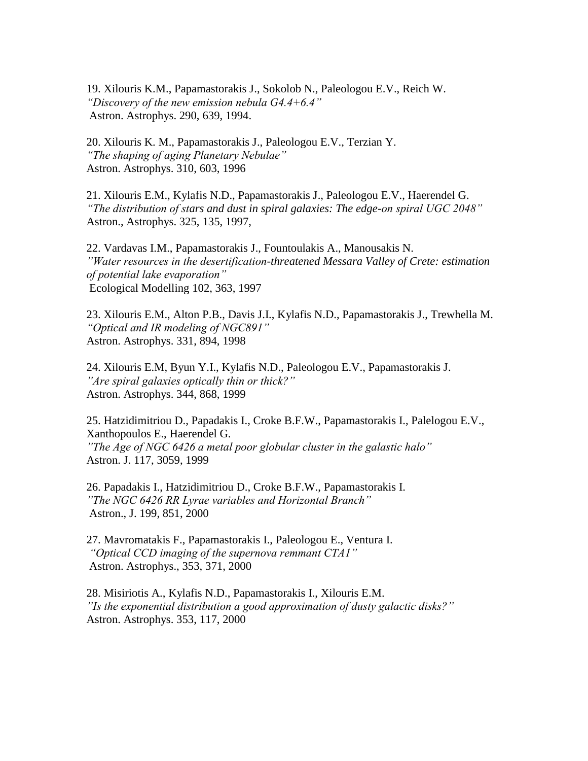19. Xilouris K.M., Papamastorakis J., Sokolob N., Paleologou E.V., Reich W. *"Discovery of the new emission nebula G4.4+6.4"* Astron. Astrophys. 290, 639, 1994.

20. Xilouris K. M., Papamastorakis J., Paleologou E.V., Terzian Y. *"The shaping of aging Planetary Nebulae"*  Astron. Astrophys. 310, 603, 1996

21. Xilouris E.M., Kylafis N.D., Papamastorakis J., Paleologou E.V., Haerendel G. *"The distribution of stars and dust in spiral galaxies: The edge-on spiral UGC 2048"* Astron., Astrophys. 325, 135, 1997,

22. Vardavas I.M., Papamastorakis J., Fountoulakis A., Manousakis N. *"Water resources in the desertification-threatened Messara Valley of Crete: estimation of potential lake evaporation"* Ecological Modelling 102, 363, 1997

23. Xilouris E.M., Alton P.B., Davis J.I., Kylafis N.D., Papamastorakis J., Trewhella M. *"Optical and IR modeling of NGC891"* Astron. Astrophys. 331, 894, 1998

24. Xilouris E.M, Byun Y.I., Kylafis N.D., Paleologou E.V., Papamastorakis J. *"Are spiral galaxies optically thin or thick?"* Astron. Astrophys. 344, 868, 1999

25. Hatzidimitriou D., Papadakis I., Croke B.F.W., Papamastorakis I., Palelogou E.V., Xanthopoulos E., Haerendel G. *"The Age of NGC 6426 a metal poor globular cluster in the galastic halo"*  Astron. J. 117, 3059, 1999

26. Papadakis I., Hatzidimitriou D., Croke B.F.W., Papamastorakis I. *"The NGC 6426 RR Lyrae variables and Horizontal Branch"* Astron., J. 199, 851, 2000

27. Mavromatakis F., Papamastorakis I., Paleologou E., Ventura I. *"Optical CCD imaging of the supernova remmant CTA1"* Astron. Astrophys., 353, 371, 2000

28. Misiriotis A., Kylafis N.D., Papamastorakis I., Xilouris E.M. *"Is the exponential distribution a good approximation of dusty galactic disks?"* Astron. Astrophys. 353, 117, 2000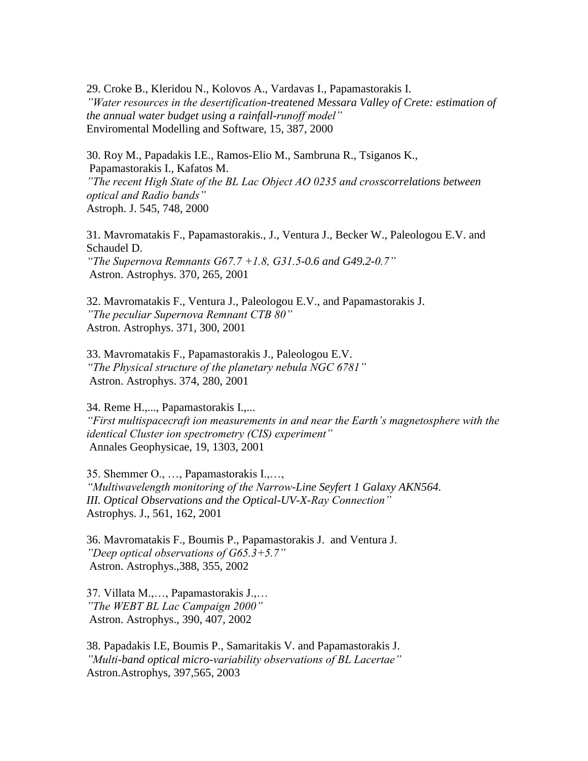29. Croke B., Kleridou N., Kolovos A., Vardavas I., Papamastorakis I. *"Water resources in the desertification-treatened Messara Valley of Crete: estimation of the annual water budget using a rainfall-runoff model"* Enviromental Modelling and Software, 15, 387, 2000

30. Roy M., Papadakis I.E., Ramos-Elio M., Sambruna R., Tsiganos K., Papamastorakis I., Kafatos M. *"The recent High State of the BL Lac Object AO 0235 and crosscorrelations between optical and Radio bands"* Astroph. J. 545, 748, 2000

31. Mavromatakis F., Papamastorakis., J., Ventura J., Becker W., Paleologou E.V. and Schaudel D. *"The Supernova Remnants G67.7 +1.8, G31.5-0.6 and G49.2-0.7"* Astron. Astrophys. 370, 265, 2001

32. Mavromatakis F., Ventura J., Paleologou E.V., and Papamastorakis J. *"The peculiar Supernova Remnant CTB 80"* Astron. Astrophys. 371, 300, 2001

33. Mavromatakis F., Papamastorakis J., Paleologou E.V. *"The Physical structure of the planetary nebula NGC 6781"* Astron. Astrophys. 374, 280, 2001

34. Reme H.,..., Papamastorakis I.,... *"First multispacecraft ion measurements in and near the Earth's magnetosphere with the identical Cluster ion spectrometry (CIS) experiment"* Annales Geophysicae, 19, 1303, 2001

35. Shemmer O., …, Papamastorakis I.,…, *"Multiwavelength monitoring of the Narrow-Line Seyfert 1 Galaxy AKN564. III. Optical Observations and the Optical-UV-X-Ray Connection"* Astrophys. J., 561, 162, 2001

36. Mavromatakis F., Boumis P., Papamastorakis J. and Ventura J. *"Deep optical observations of G65.3+5.7"* Astron. Astrophys.,388, 355, 2002

37. Villata M.,…, Papamastorakis J.,… *"The WEBT BL Lac Campaign 2000"* Astron. Astrophys., 390, 407, 2002

38. Papadakis I.E, Boumis P., Samaritakis V. and Papamastorakis J. *"Multi-band optical micro-variability observations of BL Lacertae"* Astron.Astrophys, 397,565, 2003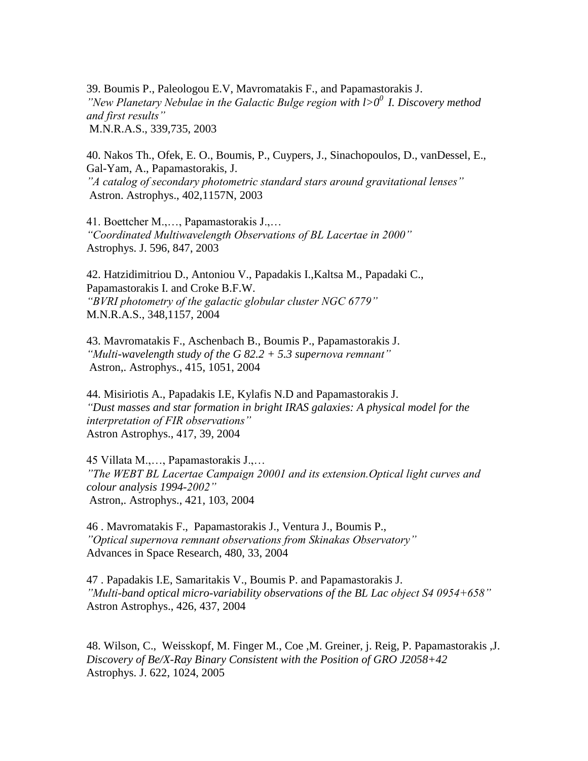39. Boumis P., Paleologou E.V, Mavromatakis F., and Papamastorakis J. *"New Planetary Nebulae in the Galactic Bulge region with l>0<sup>0</sup>I. Discovery method and first results"* M.N.R.A.S., 339,735, 2003

40. Nakos Th., Ofek, E. O., Boumis, P., Cuypers, J., Sinachopoulos, D., vanDessel, E., Gal-Yam, A., Papamastorakis, J. *"A catalog of secondary photometric standard stars around gravitational lenses"* Astron. Astrophys., 402,1157N, 2003

41. Boettcher M.,…, Papamastorakis J.,… *"Coordinated Multiwavelength Observations of BL Lacertae in 2000"* Astrophys. J. 596, 847, 2003

42. Hatzidimitriou D., Antoniou V., Papadakis I.,Kaltsa M., Papadaki C., Papamastorakis I. and Croke B.F.W. *"BVRI photometry of the galactic globular cluster NGC 6779"*  M.N.R.A.S., 348,1157, 2004

43. Mavromatakis F., Aschenbach B., Boumis P., Papamastorakis J. *"Multi-wavelength study of the G 82.2 + 5.3 supernova remnant"* Astron,. Astrophys., 415, 1051, 2004

44. Misiriotis A., Papadakis I.E, Kylafis N.D and Papamastorakis J. *"Dust masses and star formation in bright IRAS galaxies: A physical model for the interpretation of FIR observations"* Astron Astrophys., 417, 39, 2004

45 Villata M.,…, Papamastorakis J.,… *"The WEBT BL Lacertae Campaign 20001 and its extension.Optical light curves and colour analysis 1994-2002"* Astron,. Astrophys., 421, 103, 2004

46 . Mavromatakis F., Papamastorakis J., Ventura J., Boumis P., *"Optical supernova remnant observations from Skinakas Observatory"* Advances in Space Research, 480, 33, 2004

47 . Papadakis I.E, Samaritakis V., Boumis P. and Papamastorakis J. *"Multi-band optical micro-variability observations of the BL Lac object S4 0954+658"* Astron Astrophys., 426, 437, 2004

48. Wilson, C., Weisskopf, M. Finger M., Coe ,M. Greiner, j. Reig, P. Papamastorakis ,J. *Discovery of Be/X-Ray Binary Consistent with the Position of GRO J2058+42* Astrophys. J. 622, 1024, 2005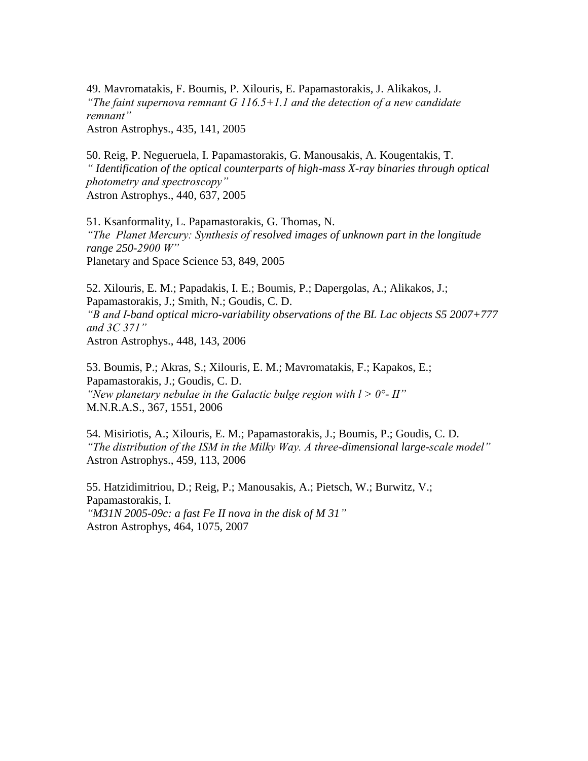49. Mavromatakis, F. Boumis, P. Xilouris, E. Papamastorakis, J. Alikakos, J. *"The faint supernova remnant G 116.5+1.1 and the detection of a new candidate remnant"*

Astron Astrophys., 435, 141, 2005

50. Reig, P. Negueruela, I. Papamastorakis, G. Manousakis, A. Kougentakis, T. *" Identification of the optical counterparts of high-mass X-ray binaries through optical photometry and spectroscopy"* Astron Astrophys., 440, 637, 2005

51. Ksanformality, L. Papamastorakis, G. Thomas, N. *"The Planet Mercury: Synthesis of resolved images of unknown part in the longitude range 250-2900 W"*  Planetary and Space Science 53, 849, 2005

52. Xilouris, E. M.; Papadakis, I. E.; Boumis, P.; Dapergolas, A.; Alikakos, J.; Papamastorakis, J.; Smith, N.; Goudis, C. D. *"B and I-band optical micro-variability observations of the BL Lac objects S5 2007+777 and 3C 371"* Astron Astrophys., 448, 143, 2006

53. Boumis, P.; Akras, S.; Xilouris, E. M.; Mavromatakis, F.; Kapakos, E.; Papamastorakis, J.; Goudis, C. D. *"New planetary nebulae in the Galactic bulge region with l > 0°- II"* M.N.R.A.S., 367, 1551, 2006

54. Misiriotis, A.; Xilouris, E. M.; Papamastorakis, J.; Boumis, P.; Goudis, C. D. *"The distribution of the ISM in the Milky Way. A three-dimensional large-scale model"* Astron Astrophys., 459, 113, 2006

55. Hatzidimitriou, D.; Reig, P.; Manousakis, A.; Pietsch, W.; Burwitz, V.; Papamastorakis, I. *"M31N 2005-09c: a fast Fe II nova in the disk of M 31"* Astron Astrophys, 464, 1075, 2007